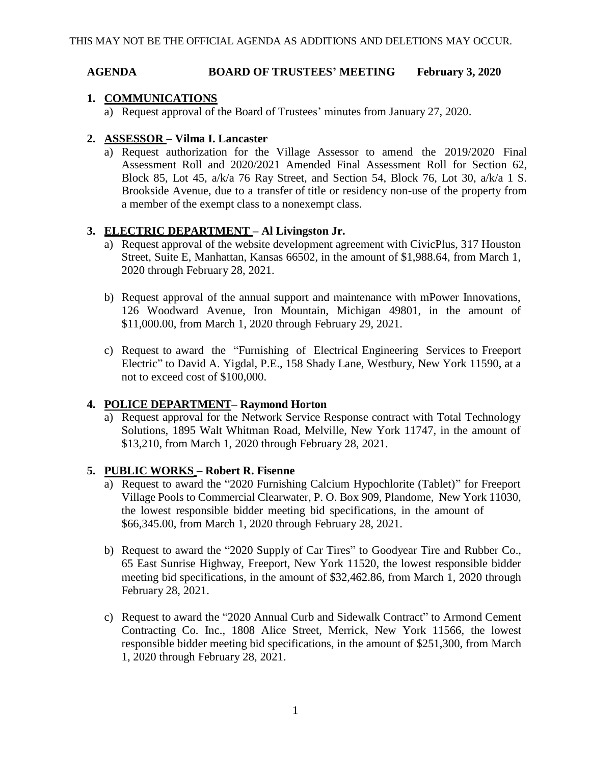#### **AGENDA BOARD OF TRUSTEES' MEETING February 3, 2020**

### **1. COMMUNICATIONS**

a) Request approval of the Board of Trustees' minutes from January 27, 2020.

## **2. ASSESSOR – Vilma I. Lancaster**

a) Request authorization for the Village Assessor to amend the 2019/2020 Final Assessment Roll and 2020/2021 Amended Final Assessment Roll for Section 62, Block 85, Lot 45, a/k/a 76 Ray Street, and Section 54, Block 76, Lot 30, a/k/a 1 S. Brookside Avenue, due to a transfer of title or residency non-use of the property from a member of the exempt class to a nonexempt class.

# **3. ELECTRIC DEPARTMENT – Al Livingston Jr.**

- a) Request approval of the website development agreement with CivicPlus, 317 Houston Street, Suite E, Manhattan, Kansas 66502, in the amount of \$1,988.64, from March 1, 2020 through February 28, 2021.
- b) Request approval of the annual support and maintenance with mPower Innovations, 126 Woodward Avenue, Iron Mountain, Michigan 49801, in the amount of \$11,000.00, from March 1, 2020 through February 29, 2021.
- c) Request to award the "Furnishing of Electrical Engineering Services to Freeport Electric" to David A. Yigdal, P.E., 158 Shady Lane, Westbury, New York 11590, at a not to exceed cost of \$100,000.

### **4. POLICE DEPARTMENT– Raymond Horton**

a) Request approval for the Network Service Response contract with Total Technology Solutions, 1895 Walt Whitman Road, Melville, New York 11747, in the amount of \$13,210, from March 1, 2020 through February 28, 2021.

### **5. PUBLIC WORKS – Robert R. Fisenne**

- a) Request to award the "2020 Furnishing Calcium Hypochlorite (Tablet)" for Freeport Village Pools to Commercial Clearwater, P. O. Box 909, Plandome, New York 11030, the lowest responsible bidder meeting bid specifications, in the amount of \$66,345.00, from March 1, 2020 through February 28, 2021.
- b) Request to award the "2020 Supply of Car Tires" to Goodyear Tire and Rubber Co., 65 East Sunrise Highway, Freeport, New York 11520, the lowest responsible bidder meeting bid specifications, in the amount of \$32,462.86, from March 1, 2020 through February 28, 2021.
- c) Request to award the "2020 Annual Curb and Sidewalk Contract" to Armond Cement Contracting Co. Inc., 1808 Alice Street, Merrick, New York 11566, the lowest responsible bidder meeting bid specifications, in the amount of \$251,300, from March 1, 2020 through February 28, 2021.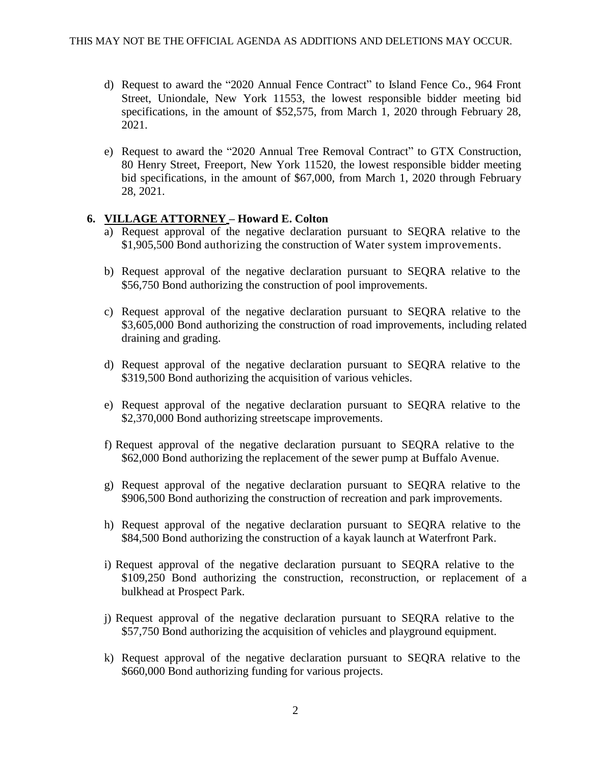- d) Request to award the "2020 Annual Fence Contract" to Island Fence Co., 964 Front Street, Uniondale, New York 11553, the lowest responsible bidder meeting bid specifications, in the amount of \$52,575, from March 1, 2020 through February 28, 2021.
- e) Request to award the "2020 Annual Tree Removal Contract" to GTX Construction, 80 Henry Street, Freeport, New York 11520, the lowest responsible bidder meeting bid specifications, in the amount of \$67,000, from March 1, 2020 through February 28, 2021.

# **6. VILLAGE ATTORNEY – Howard E. Colton**

- a) Request approval of the negative declaration pursuant to SEQRA relative to the \$1,905,500 Bond authorizing the construction of Water system improvements.
- b) Request approval of the negative declaration pursuant to SEQRA relative to the \$56,750 Bond authorizing the construction of pool improvements.
- c) Request approval of the negative declaration pursuant to SEQRA relative to the \$3,605,000 Bond authorizing the construction of road improvements, including related draining and grading.
- d) Request approval of the negative declaration pursuant to SEQRA relative to the \$319,500 Bond authorizing the acquisition of various vehicles.
- e) Request approval of the negative declaration pursuant to SEQRA relative to the \$2,370,000 Bond authorizing streetscape improvements.
- f) Request approval of the negative declaration pursuant to SEQRA relative to the \$62,000 Bond authorizing the replacement of the sewer pump at Buffalo Avenue.
- g) Request approval of the negative declaration pursuant to SEQRA relative to the \$906,500 Bond authorizing the construction of recreation and park improvements.
- h) Request approval of the negative declaration pursuant to SEQRA relative to the \$84,500 Bond authorizing the construction of a kayak launch at Waterfront Park.
- i) Request approval of the negative declaration pursuant to SEQRA relative to the \$109,250 Bond authorizing the construction, reconstruction, or replacement of a bulkhead at Prospect Park.
- j) Request approval of the negative declaration pursuant to SEQRA relative to the \$57,750 Bond authorizing the acquisition of vehicles and playground equipment.
- k) Request approval of the negative declaration pursuant to SEQRA relative to the \$660,000 Bond authorizing funding for various projects.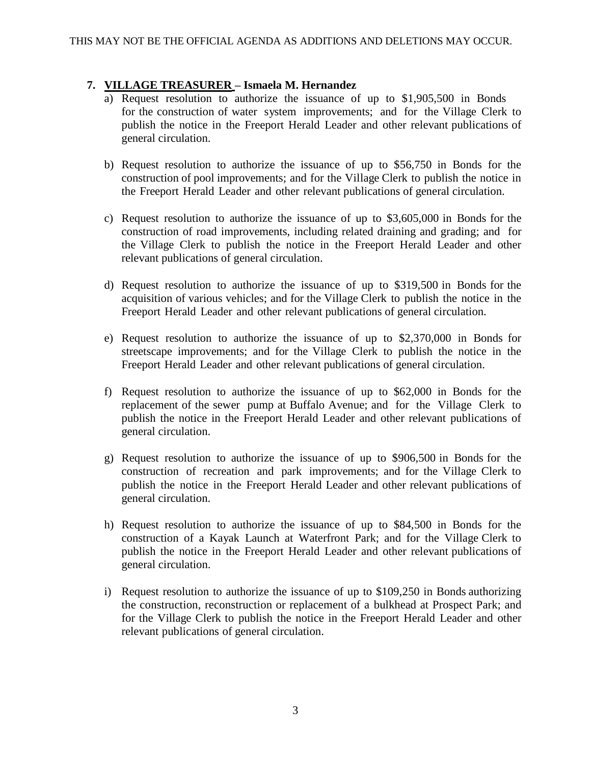## **7. VILLAGE TREASURER – Ismaela M. Hernandez**

- a) Request resolution to authorize the issuance of up to \$1,905,500 in Bonds for the construction of water system improvements; and for the Village Clerk to publish the notice in the Freeport Herald Leader and other relevant publications of general circulation.
- b) Request resolution to authorize the issuance of up to \$56,750 in Bonds for the construction of pool improvements; and for the Village Clerk to publish the notice in the Freeport Herald Leader and other relevant publications of general circulation.
- c) Request resolution to authorize the issuance of up to \$3,605,000 in Bonds for the construction of road improvements, including related draining and grading; and for the Village Clerk to publish the notice in the Freeport Herald Leader and other relevant publications of general circulation.
- d) Request resolution to authorize the issuance of up to \$319,500 in Bonds for the acquisition of various vehicles; and for the Village Clerk to publish the notice in the Freeport Herald Leader and other relevant publications of general circulation.
- e) Request resolution to authorize the issuance of up to \$2,370,000 in Bonds for streetscape improvements; and for the Village Clerk to publish the notice in the Freeport Herald Leader and other relevant publications of general circulation.
- f) Request resolution to authorize the issuance of up to \$62,000 in Bonds for the replacement of the sewer pump at Buffalo Avenue; and for the Village Clerk to publish the notice in the Freeport Herald Leader and other relevant publications of general circulation.
- g) Request resolution to authorize the issuance of up to \$906,500 in Bonds for the construction of recreation and park improvements; and for the Village Clerk to publish the notice in the Freeport Herald Leader and other relevant publications of general circulation.
- h) Request resolution to authorize the issuance of up to \$84,500 in Bonds for the construction of a Kayak Launch at Waterfront Park; and for the Village Clerk to publish the notice in the Freeport Herald Leader and other relevant publications of general circulation.
- i) Request resolution to authorize the issuance of up to \$109,250 in Bonds authorizing the construction, reconstruction or replacement of a bulkhead at Prospect Park; and for the Village Clerk to publish the notice in the Freeport Herald Leader and other relevant publications of general circulation.